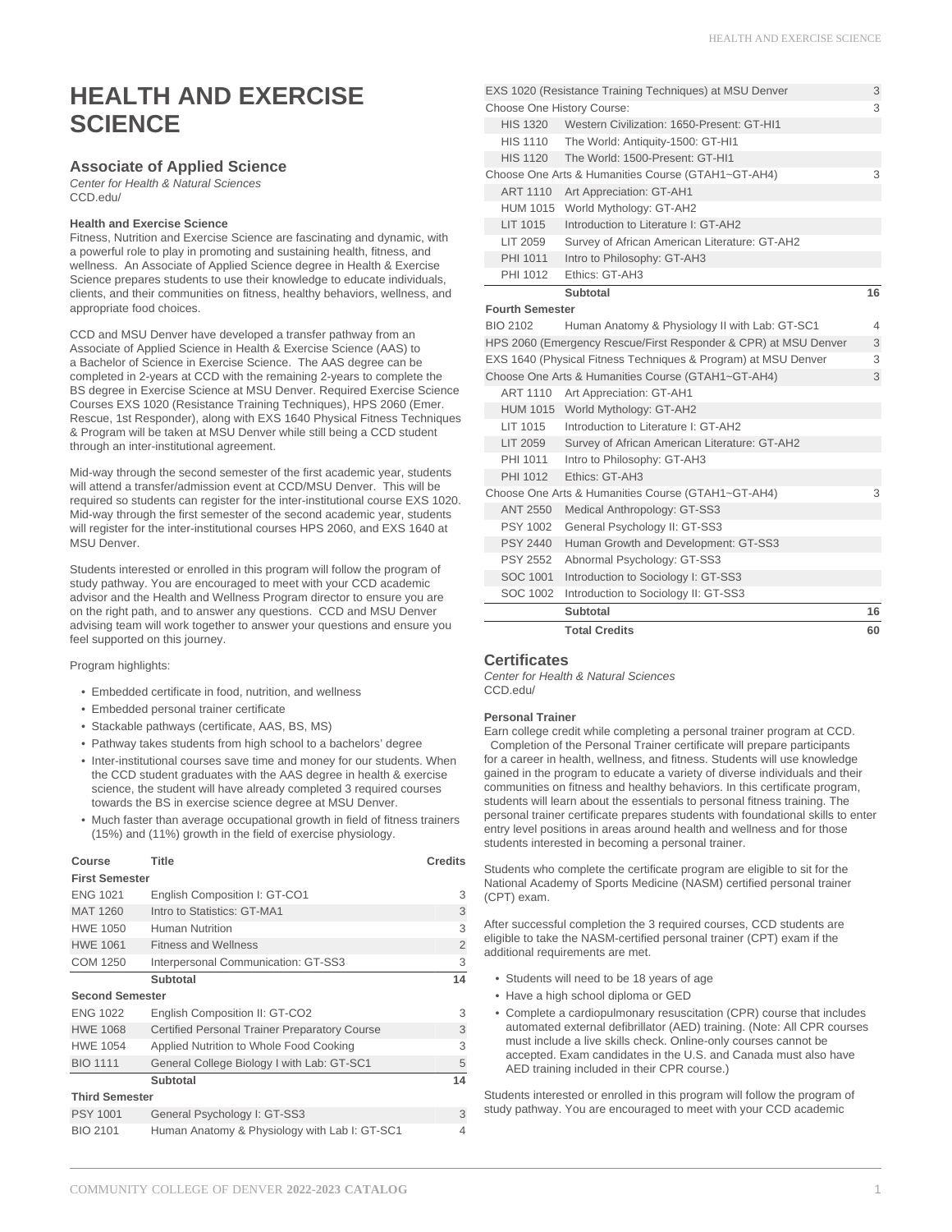# **HEALTH AND EXERCISE SCIENCE**

## **Associate of Applied Science**

Center for Health & Natural Sciences [CCD.edu/](http://catalog.ccd.edu/programs-courses/academic-pathways/health-sciences/health-and-exercise-science/ccd.edu)

#### **Health and Exercise Science**

Fitness, Nutrition and Exercise Science are fascinating and dynamic, with a powerful role to play in promoting and sustaining health, fitness, and wellness. An Associate of Applied Science degree in Health & Exercise Science prepares students to use their knowledge to educate individuals, clients, and their communities on fitness, healthy behaviors, wellness, and appropriate food choices.

CCD and MSU Denver have developed a transfer pathway from an Associate of Applied Science in Health & Exercise Science (AAS) to a Bachelor of Science in Exercise Science. The AAS degree can be completed in 2-years at CCD with the remaining 2-years to complete the BS degree in Exercise Science at MSU Denver. Required Exercise Science Courses EXS 1020 (Resistance Training Techniques), HPS 2060 (Emer. Rescue, 1st Responder), along with EXS 1640 Physical Fitness Techniques & Program will be taken at MSU Denver while still being a CCD student through an inter-institutional agreement.

Mid-way through the second semester of the first academic year, students will attend a transfer/admission event at CCD/MSU Denver. This will be required so students can register for the inter-institutional course EXS 1020. Mid-way through the first semester of the second academic year, students will register for the inter-institutional courses HPS 2060, and EXS 1640 at MSU Denver.

Students interested or enrolled in this program will follow the program of study pathway. You are encouraged to meet with your CCD academic advisor and the Health and Wellness Program director to ensure you are on the right path, and to answer any questions. CCD and MSU Denver advising team will work together to answer your questions and ensure you feel supported on this journey.

Program highlights:

- Embedded certificate in food, nutrition, and wellness
- Embedded personal trainer certificate
- Stackable pathways (certificate, AAS, BS, MS)
- Pathway takes students from high school to a bachelors' degree
- Inter-institutional courses save time and money for our students. When the CCD student graduates with the AAS degree in health & exercise science, the student will have already completed 3 required courses towards the BS in exercise science degree at MSU Denver.
- Much faster than average occupational growth in field of fitness trainers (15%) and (11%) growth in the field of exercise physiology.

| Course                 | Title                                                | Credits        |  |  |
|------------------------|------------------------------------------------------|----------------|--|--|
| <b>First Semester</b>  |                                                      |                |  |  |
| <b>ENG 1021</b>        | English Composition I: GT-CO1                        | 3              |  |  |
| <b>MAT 1260</b>        | Intro to Statistics: GT-MA1                          | 3              |  |  |
| <b>HWE 1050</b>        | Human Nutrition                                      | 3              |  |  |
| <b>HWE 1061</b>        | <b>Fitness and Wellness</b>                          | $\overline{2}$ |  |  |
| COM 1250               | Interpersonal Communication: GT-SS3                  | 3              |  |  |
|                        | Subtotal                                             | 14             |  |  |
| <b>Second Semester</b> |                                                      |                |  |  |
| <b>ENG 1022</b>        | English Composition II: GT-CO2                       | 3              |  |  |
| <b>HWE 1068</b>        | <b>Certified Personal Trainer Preparatory Course</b> | 3              |  |  |
| <b>HWE 1054</b>        | Applied Nutrition to Whole Food Cooking              | 3              |  |  |
| <b>BIO 1111</b>        | General College Biology I with Lab: GT-SC1           | 5              |  |  |
|                        | Subtotal                                             | 14             |  |  |
| <b>Third Semester</b>  |                                                      |                |  |  |
| <b>PSY 1001</b>        | General Psychology I: GT-SS3                         | 3              |  |  |
| <b>BIO 2101</b>        | Human Anatomy & Physiology with Lab I: GT-SC1        | 4              |  |  |

| EXS 1020 (Resistance Training Techniques) at MSU Denver              |                                                    |                |  |  |
|----------------------------------------------------------------------|----------------------------------------------------|----------------|--|--|
| Choose One History Course:                                           |                                                    | 3              |  |  |
| <b>HIS 1320</b>                                                      | Western Civilization: 1650-Present: GT-HI1         |                |  |  |
| <b>HIS 1110</b>                                                      | The World: Antiquity-1500: GT-HI1                  |                |  |  |
| <b>HIS 1120</b>                                                      | The World: 1500-Present: GT-HI1                    |                |  |  |
| Choose One Arts & Humanities Course (GTAH1~GT-AH4)                   |                                                    |                |  |  |
| <b>ART 1110</b>                                                      | Art Appreciation: GT-AH1                           |                |  |  |
| <b>HUM 1015</b>                                                      | World Mythology: GT-AH2                            |                |  |  |
| LIT 1015                                                             | Introduction to Literature I: GT-AH2               |                |  |  |
| LIT 2059                                                             | Survey of African American Literature: GT-AH2      |                |  |  |
| PHI 1011                                                             | Intro to Philosophy: GT-AH3                        |                |  |  |
| PHI 1012                                                             | Ethics: GT-AH3                                     |                |  |  |
|                                                                      | Subtotal                                           | 16             |  |  |
| <b>Fourth Semester</b>                                               |                                                    |                |  |  |
| BIO 2102                                                             | Human Anatomy & Physiology II with Lab: GT-SC1     | $\overline{4}$ |  |  |
| HPS 2060 (Emergency Rescue/First Responder & CPR) at MSU Denver<br>3 |                                                    |                |  |  |
| EXS 1640 (Physical Fitness Techniques & Program) at MSU Denver       |                                                    |                |  |  |
|                                                                      | Choose One Arts & Humanities Course (GTAH1~GT-AH4) | 3              |  |  |
|                                                                      | ART 1110 Art Appreciation: GT-AH1                  |                |  |  |
|                                                                      | HUM 1015 World Mythology: GT-AH2                   |                |  |  |
| LIT 1015                                                             | Introduction to Literature I: GT-AH2               |                |  |  |
| LIT 2059                                                             | Survey of African American Literature: GT-AH2      |                |  |  |
| PHI 1011                                                             | Intro to Philosophy: GT-AH3                        |                |  |  |
| PHI 1012                                                             | Ethics: GT-AH3                                     |                |  |  |
|                                                                      | Choose One Arts & Humanities Course (GTAH1~GT-AH4) | 3              |  |  |
| <b>ANT 2550</b>                                                      | Medical Anthropology: GT-SS3                       |                |  |  |
| <b>PSY 1002</b>                                                      | General Psychology II: GT-SS3                      |                |  |  |
| <b>PSY 2440</b>                                                      | Human Growth and Development: GT-SS3               |                |  |  |
| <b>PSY 2552</b>                                                      | Abnormal Psychology: GT-SS3                        |                |  |  |
| SOC 1001                                                             | Introduction to Sociology I: GT-SS3                |                |  |  |
| SOC 1002                                                             | Introduction to Sociology II: GT-SS3               |                |  |  |

### **Certificates**

Center for Health & Natural Sciences [CCD.edu/](http://catalog.ccd.edu/programs-courses/academic-pathways/health-sciences/health-and-exercise-science/ccd.edu)

#### **Personal Trainer**

Earn college credit while completing a personal trainer program at CCD. Completion of the Personal Trainer certificate will prepare participants for a career in health, wellness, and fitness. Students will use knowledge gained in the program to educate a variety of diverse individuals and their communities on fitness and healthy behaviors. In this certificate program, students will learn about the essentials to personal fitness training. The personal trainer certificate prepares students with foundational skills to enter entry level positions in areas around health and wellness and for those students interested in becoming a personal trainer.

**Subtotal 16 Total Credits 60**

Students who complete the certificate program are eligible to sit for the National Academy of Sports Medicine (NASM) certified personal trainer (CPT) exam.

After successful completion the 3 required courses, CCD students are eligible to take the NASM-certified personal trainer (CPT) exam if the additional requirements are met.

- Students will need to be 18 years of age
- Have a high school diploma or GED
- Complete a cardiopulmonary resuscitation (CPR) course that includes automated external defibrillator (AED) training. (Note: All CPR courses must include a live skills check. Online-only courses cannot be accepted. Exam candidates in the U.S. and Canada must also have AED training included in their CPR course.)

Students interested or enrolled in this program will follow the program of study pathway. You are encouraged to meet with your CCD academic